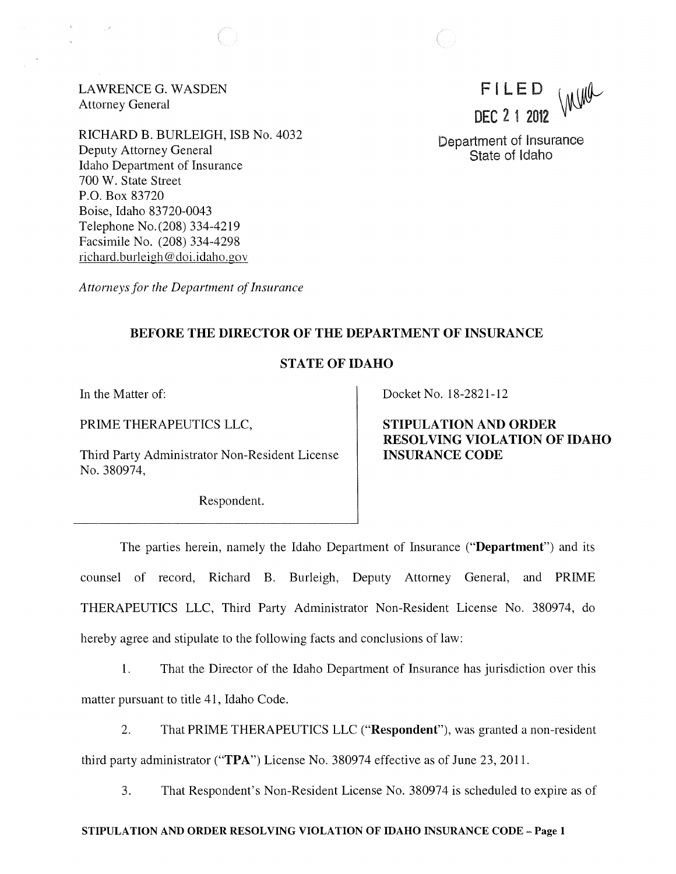LAWRENCE G. WASDEN Attorney General

RICHARD B. BURLEIGH, ISB No. 4032 Deputy Attorney General Idaho Department of Insurance 700 W. State Street P.O. Box 83720 Boise, Idaho 83720-0043 Telephone No. (208) 334-4219 Facsimile No. (208) 334-4298 richard.burleigh@doi.idaho.gov

Incha FI LED DEC 2 1 2012

Department of Insurance State of Idaho

*Attorneys for the Department of Insurance* 

## BEFORE THE DIRECTOR OF THE DEPARTMENT OF INSURANCE

## STATE OF IDAHO

In the Matter of:

PRIME THERAPEUTICS LLC,

Third Party Administrator Non-Resident License No. 380974,

Respondent.

Docket No. 18-2821-12

STIPULATION AND ORDER RESOLVING VIOLATION OF IDAHO INSURANCE CODE

The parties herein, namely the Idaho Department of Insurance ("Department") and its counsel of record, Richard B. Burleigh, Deputy Attorney General, and PRIME THERAPEUTICS LLC, Third Party Administrator Non-Resident License No. 380974, do hereby agree and stipulate to the following facts and conclusions of law:

1. That the Director of the Idaho Department of Insurance has jurisdiction over this matter pursuant to title 41, Idaho Code.

2. That PRIME THERAPEUTICS LLC ("Respondent"), was granted a non-resident third party administrator ("TPA") License No. 380974 effective as of June 23, 2011.

3. That Respondent's Non-Resident License No. 380974 is scheduled to expire as of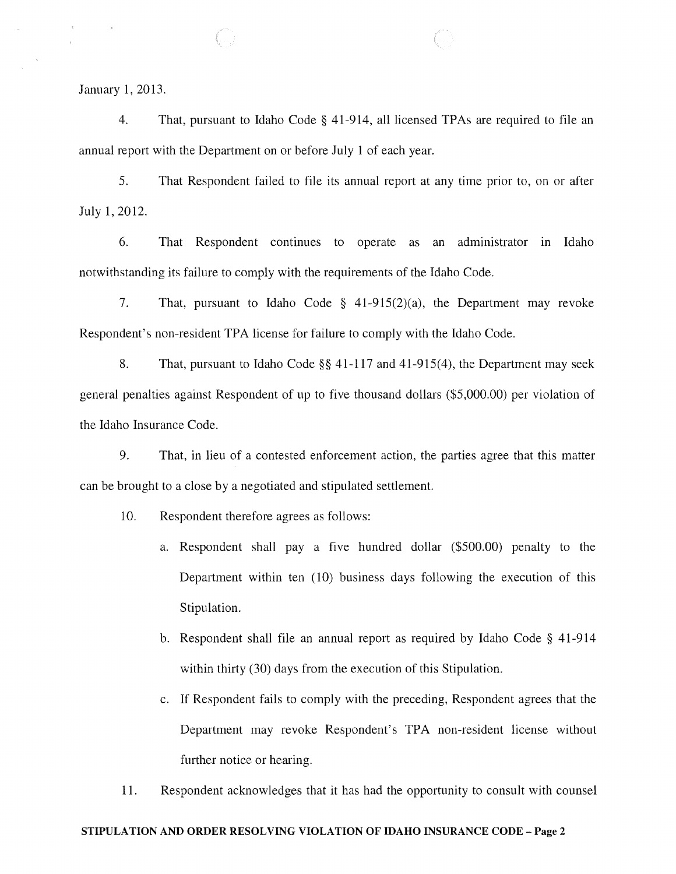January 1,2013.

4. That, pursuant to Idaho Code § 41-914, all licensed TPAs are required to file an annual report with the Department on or before July 1 of each year.

5. That Respondent failed to file its annual report at any time prior to, on or after July 1,2012.

6. That Respondent continues to operate as an administrator in Idaho notwithstanding its failure to comply with the requirements of the Idaho Code.

7. That, pursuant to Idaho Code § 41-915(2)(a), the Department may revoke Respondent's non-resident TPA license for failure to comply with the Idaho Code.

8. That, pursuant to Idaho Code §§ 41 117 and 41-915(4), the Department may seek general penalties against Respondent of up to five thousand dollars (\$5,000.00) per violation of the Idaho Insurance Code.

9. That, in lieu of a contested enforcement action, the parties agree that this matter can be brought to a close by a negotiated and stipulated settlement.

- 10. Respondent therefore agrees as follows:
	- a. Respondent shall pay a five hundred dollar (\$500.00) penalty to the Department within ten (10) business days following the execution of this Stipulation.
	- b. Respondent shall file an annual report as required by Idaho Code § 41-914 within thirty (30) days from the execution of this Stipulation.
	- c. If Respondent fails to comply with the preceding, Respondent agrees that the Department may revoke Respondent's TPA non-resident license without further notice or hearing.
- 11. Respondent acknowledges that it has had the opportunity to consult with counsel

#### STIPULA TION AND ORDER RESOLVING VIOLATION OF IDAHO INSURANCE CODE - Page 2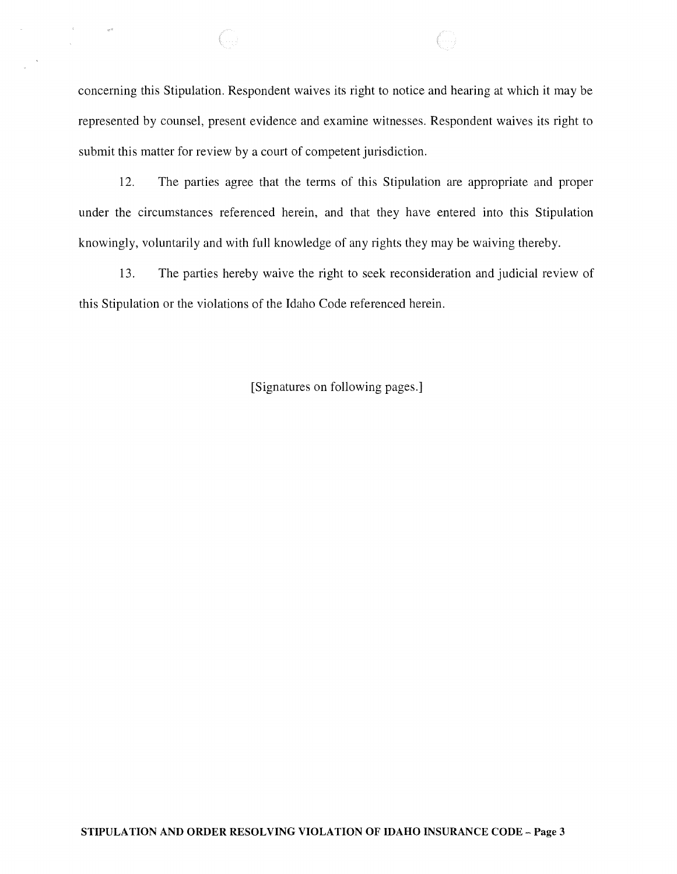concerning this Stipulation. Respondent waives its right to notice and hearing at which it may be represented by counsel, present evidence and examine witnesses. Respondent waives its right to submit this matter for review by a court of competent jurisdiction.

64

.<br>Serie

12. The parties agree that the terms of this Stipulation are appropriate and proper under the circumstances referenced herein, and that they have entered into this Stipulation knowingly, voluntarily and with full knowledge of any rights they may be waiving thereby.

13. The parties hereby waive the right to seek reconsideration and judicial review of this Stipulation or the violations of the Idaho Code referenced herein.

[Signatures on following pages.]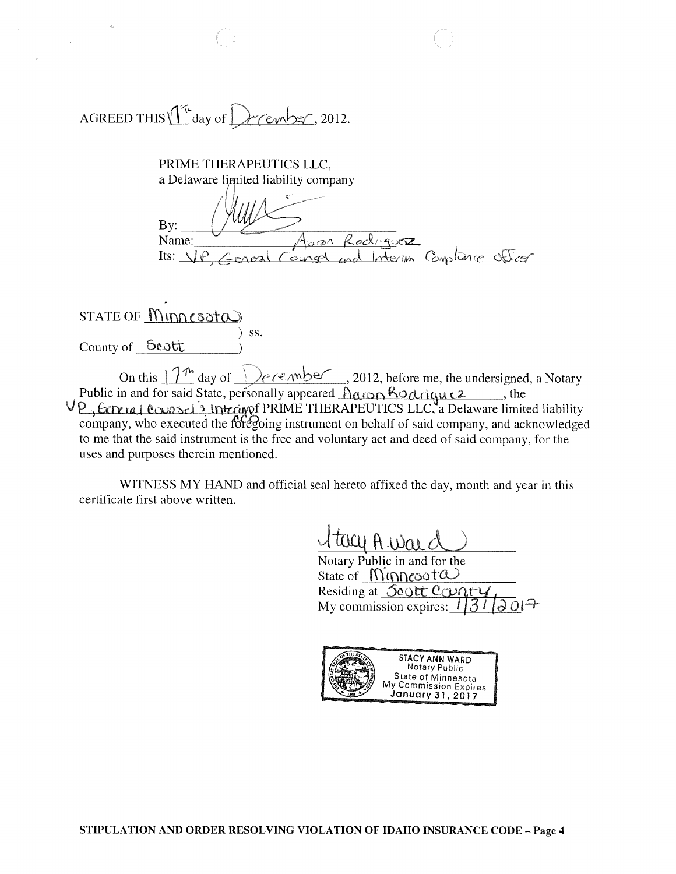AGREED THIS  $1^{\pi}$  day of December, 2012.

PRIME THERAPEUTICS LLC, a Delaware limited liability company

By: Name: Julius Aora Rediguez.  $Its: \Delta P \neq$  eneal  $Couchge1$  and Interim  $Comline$  officer

# $STATE OF$   $M$  $N$  $CS$ ota) ) ss. County of Scott

On this  $\sqrt{1/\hbar}$  day of  $\sqrt{1/\hbar}$  day of  $\sqrt{1/\hbar}$ , 2012, before me, the undersigned, a Notary . Public in and for said State, personally appeared  $\triangle$  and  $\triangle$  od rique 2.  $\Box$ , the V P, Experiment Counsel 3 Intering PRIME THERAPEUTICS LLC, a Delaware limited liability  $\overline{\text{company}}$ , who executed the  $\overline{\text{fof}}$  going instrument on behalf of said company, and acknowledged to me that the said instrument is the free and voluntary act and deed of said company, for the uses and purposes therein mentioned.

WITNESS MY HAND and official seal hereto affixed the day, month and year in this certificate first above written.

Notary Public in and for the State of  $MinRecot\omega$ Residing at **Scott Conty** My commission expires:  $1/31$ 

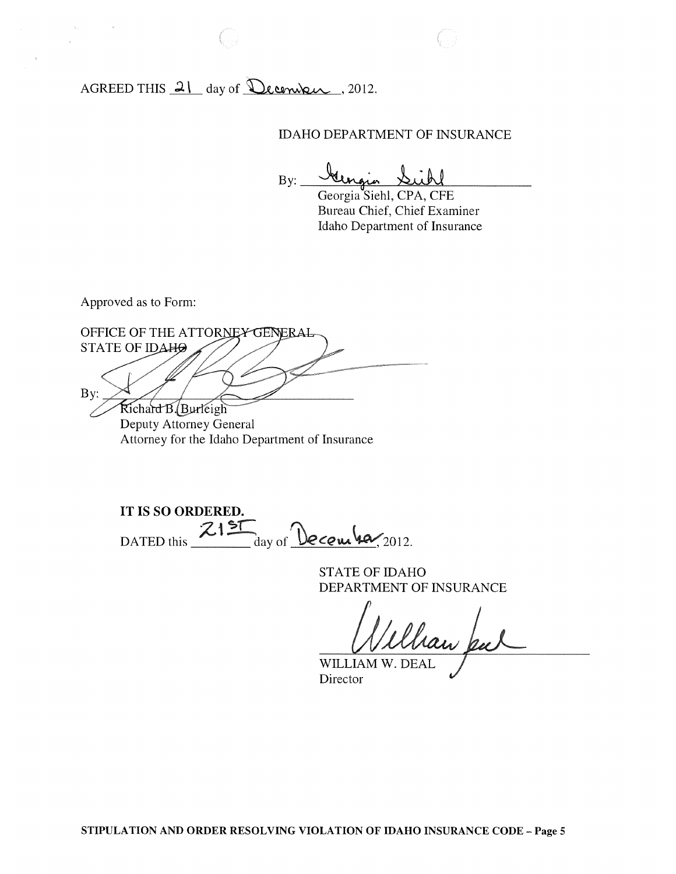AGREED THIS  $21$  day of December , 2012.

IDAHO DEPARTMENT OF INSURANCE

 $By:  $\sqrt{y}$$ 

Georgia Siehl, CPA, CFE Bureau Chief, Chief Examiner Idaho Department of Insurance

Approved as to Form:

 $\bar{\mathbf{r}}$ 

OFFICE OF THE ATTORNEY GENERAL STATE OF IDAHO  $By:$ Richard B. Burleigh Deputy Attorney General Attorney for the Idaho Department of Insurance

**IT IS SO ORDERED.**  DATED this  $\frac{Z15T}{2}$  day of  $\frac{Q}{2012}$ .

STATE OF IDAHO DEPARTMENT OF INSURANCE

Ulhan pu

WILLIAM W. DEAL Director